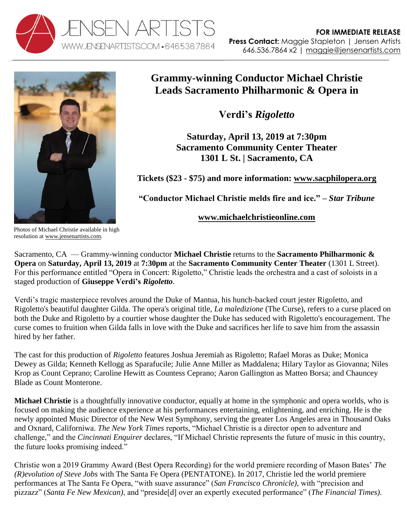



## **Grammy-winning Conductor Michael Christie Leads Sacramento Philharmonic & Opera in**

**Verdi's** *Rigoletto*

**Saturday, April 13, 2019 at 7:30pm Sacramento Community Center Theater 1301 L St. | Sacramento, CA**

**Tickets (\$23 - \$75) and more information: [www.sacphilopera.org](https://www.sacphilopera.org/production/opera-concert-rigoletto/)**

**"Conductor Michael Christie melds fire and ice." –** *Star Tribune*

**[www.michaelchristieonline.com](http://www.michaelchristieonline.com/)**

Photos of Michael Christie available in high resolution at [www.jensenartists.com.](http://www.jensenartists.com/)

Sacramento, CA — Grammy-winning conductor **Michael Christie** returns to the **Sacramento Philharmonic & Opera** on **Saturday, April 13, 2019** at **7:30pm** at the **Sacramento Community Center Theater** (1301 L Street). For this performance entitled "Opera in Concert: Rigoletto," Christie leads the orchestra and a cast of soloists in a staged production of **Giuseppe Verdi's** *Rigoletto*.

Verdi's tragic masterpiece revolves around the Duke of Mantua, his hunch-backed court jester Rigoletto, and Rigoletto's beautiful daughter Gilda. The opera's original title, *La maledizione* (The Curse), refers to a curse placed on both the Duke and Rigoletto by a courtier whose daughter the Duke has seduced with Rigoletto's encouragement. The curse comes to fruition when Gilda falls in love with the Duke and sacrifices her life to save him from the assassin hired by her father.

The cast for this production of *Rigoletto* features Joshua Jeremiah as Rigoletto; Rafael Moras as Duke; Monica Dewey as Gilda; Kenneth Kellogg as Sparafucile; Julie Anne Miller as Maddalena; Hilary Taylor as Giovanna; Niles Krop as Count Ceprano; Caroline Hewitt as Countess Ceprano; Aaron Gallington as Matteo Borsa; and Chauncey Blade as Count Monterone.

**Michael Christie** is a thoughtfully innovative conductor, equally at home in the symphonic and opera worlds, who is focused on making the audience experience at his performances entertaining, enlightening, and enriching. He is the newly appointed Music Director of the New West Symphony, serving the greater Los Angeles area in Thousand Oaks and Oxnard, Californiwa. *The New York Times* reports, "Michael Christie is a director open to adventure and challenge," and the *Cincinnati Enquirer* declares, "If Michael Christie represents the future of music in this country, the future looks promising indeed."

Christie won a 2019 Grammy Award (Best Opera Recording) for the world premiere recording of Mason Bates' *The (R)evolution of Steve Jobs* with The Santa Fe Opera (PENTATONE). In 2017, Christie led the world premiere performances at The Santa Fe Opera, "with suave assurance" (*San Francisco Chronicle)*, with "precision and pizzazz" (*Santa Fe New Mexican)*, and "preside[d] over an expertly executed performance" (*The Financial Times)*.